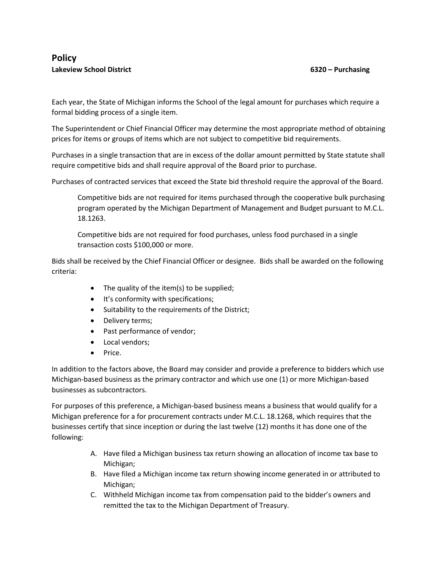Each year, the State of Michigan informs the School of the legal amount for purchases which require a formal bidding process of a single item.

The Superintendent or Chief Financial Officer may determine the most appropriate method of obtaining prices for items or groups of items which are not subject to competitive bid requirements.

Purchases in a single transaction that are in excess of the dollar amount permitted by State statute shall require competitive bids and shall require approval of the Board prior to purchase.

Purchases of contracted services that exceed the State bid threshold require the approval of the Board.

Competitive bids are not required for items purchased through the cooperative bulk purchasing program operated by the Michigan Department of Management and Budget pursuant to M.C.L. 18.1263.

Competitive bids are not required for food purchases, unless food purchased in a single transaction costs \$100,000 or more.

Bids shall be received by the Chief Financial Officer or designee. Bids shall be awarded on the following criteria:

- The quality of the item(s) to be supplied;
- It's conformity with specifications;
- Suitability to the requirements of the District;
- Delivery terms;
- Past performance of vendor;
- Local vendors;
- $\bullet$  Price.

In addition to the factors above, the Board may consider and provide a preference to bidders which use Michigan-based business as the primary contractor and which use one (1) or more Michigan-based businesses as subcontractors.

For purposes of this preference, a Michigan-based business means a business that would qualify for a Michigan preference for a for procurement contracts under M.C.L. 18.1268, which requires that the businesses certify that since inception or during the last twelve (12) months it has done one of the following:

- A. Have filed a Michigan business tax return showing an allocation of income tax base to Michigan;
- B. Have filed a Michigan income tax return showing income generated in or attributed to Michigan;
- C. Withheld Michigan income tax from compensation paid to the bidder's owners and remitted the tax to the Michigan Department of Treasury.